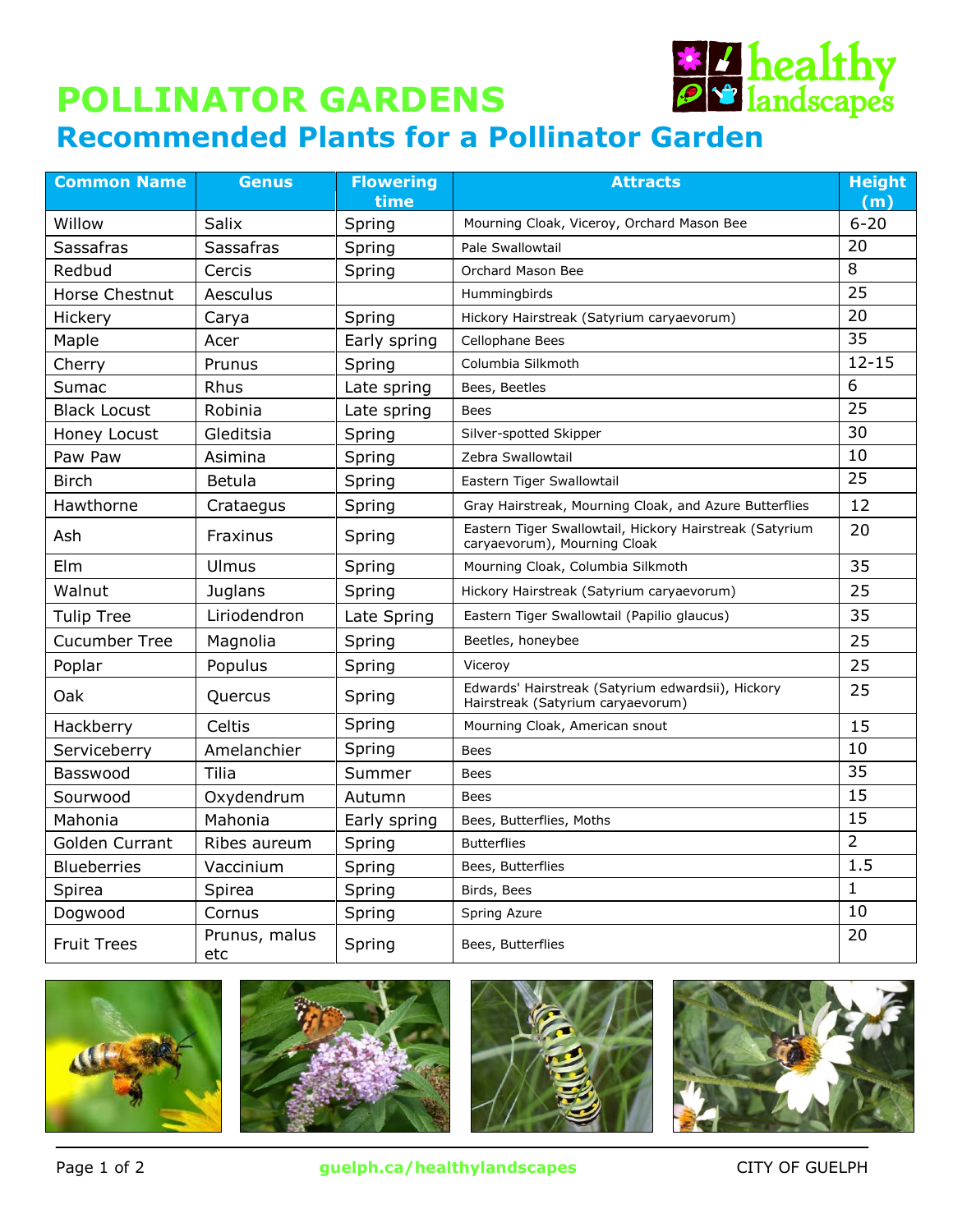## **\* 7 healthy POLLINATOR GARDENS Recommended Plants for a Pollinator Garden**

| <b>Common Name</b>   | <b>Genus</b>         | <b>Flowering</b> | <b>Attracts</b>                                                                         | <b>Height</b>   |
|----------------------|----------------------|------------------|-----------------------------------------------------------------------------------------|-----------------|
|                      |                      | time             |                                                                                         | (m)             |
| Willow               | Salix                | Spring           | Mourning Cloak, Viceroy, Orchard Mason Bee                                              | $6 - 20$        |
| Sassafras            | <b>Sassafras</b>     | Spring           | Pale Swallowtail                                                                        | 20              |
| Redbud               | Cercis               | Spring           | Orchard Mason Bee                                                                       | 8               |
| Horse Chestnut       | Aesculus             |                  | Hummingbirds                                                                            | $\overline{25}$ |
| Hickery              | Carya                | Spring           | Hickory Hairstreak (Satyrium caryaevorum)                                               | 20              |
| Maple                | Acer                 | Early spring     | Cellophane Bees                                                                         | 35              |
| Cherry               | Prunus               | Spring           | Columbia Silkmoth                                                                       | $12 - 15$       |
| Sumac                | Rhus                 | Late spring      | Bees, Beetles                                                                           | 6               |
| <b>Black Locust</b>  | Robinia              | Late spring      | <b>Bees</b>                                                                             | 25              |
| Honey Locust         | Gleditsia            | Spring           | Silver-spotted Skipper                                                                  | 30              |
| Paw Paw              | Asimina              | Spring           | Zebra Swallowtail                                                                       | 10              |
| <b>Birch</b>         | Betula               | Spring           | Eastern Tiger Swallowtail                                                               | 25              |
| Hawthorne            | Crataegus            | Spring           | Gray Hairstreak, Mourning Cloak, and Azure Butterflies                                  | 12              |
| Ash                  | Fraxinus             | Spring           | Eastern Tiger Swallowtail, Hickory Hairstreak (Satyrium<br>caryaevorum), Mourning Cloak | 20              |
| Elm                  | Ulmus                | Spring           | Mourning Cloak, Columbia Silkmoth                                                       | 35              |
| Walnut               | Juglans              | Spring           | Hickory Hairstreak (Satyrium caryaevorum)                                               | 25              |
| <b>Tulip Tree</b>    | Liriodendron         | Late Spring      | Eastern Tiger Swallowtail (Papilio glaucus)                                             | 35              |
| <b>Cucumber Tree</b> | Magnolia             | Spring           | Beetles, honeybee                                                                       | 25              |
| Poplar               | Populus              | Spring           | Viceroy                                                                                 | 25              |
| Oak                  | Quercus              | Spring           | Edwards' Hairstreak (Satyrium edwardsii), Hickory<br>Hairstreak (Satyrium caryaevorum)  | 25              |
| Hackberry            | Celtis               | Spring           | Mourning Cloak, American snout                                                          | 15              |
| Serviceberry         | Amelanchier          | Spring           | <b>Bees</b>                                                                             | 10              |
| Basswood             | Tilia                | Summer           | Bees                                                                                    | 35              |
| Sourwood             | Oxydendrum           | Autumn           | <b>Bees</b>                                                                             | 15              |
| Mahonia              | Mahonia              | Early spring     | Bees, Butterflies, Moths                                                                | 15              |
| Golden Currant       | Ribes aureum         | Spring           | <b>Butterflies</b>                                                                      | $\overline{2}$  |
| <b>Blueberries</b>   | Vaccinium            | Spring           | Bees, Butterflies                                                                       | 1.5             |
| Spirea               | Spirea               | Spring           | Birds, Bees                                                                             | $\mathbf{1}$    |
| Dogwood              | Cornus               | Spring           | Spring Azure                                                                            | 10              |
| <b>Fruit Trees</b>   | Prunus, malus<br>etc | Spring           | Bees, Butterflies                                                                       | 20              |